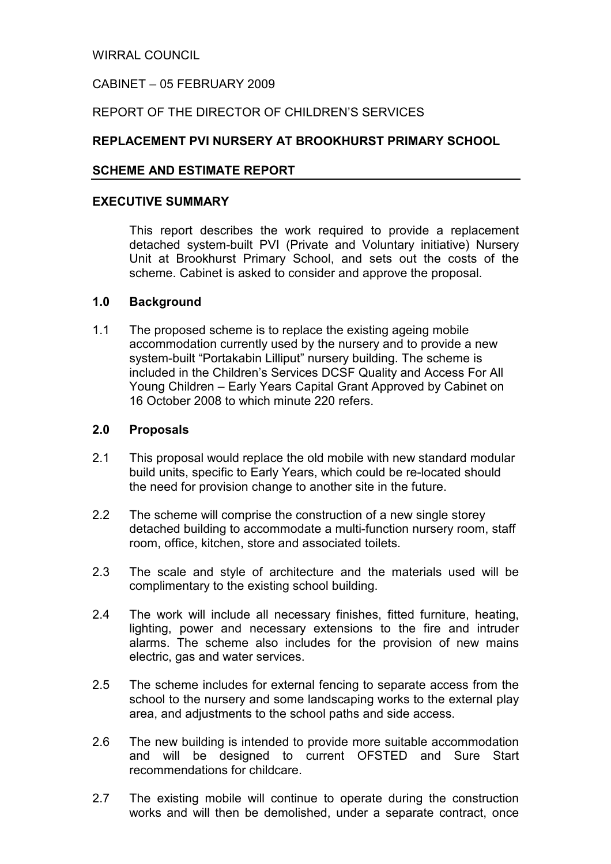WIRRAL COUNCIL

# CABINET – 05 FEBRUARY 2009

# REPORT OF THE DIRECTOR OF CHILDREN'S SERVICES

# REPLACEMENT PVI NURSERY AT BROOKHURST PRIMARY SCHOOL

#### SCHEME AND ESTIMATE REPORT

#### EXECUTIVE SUMMARY

 This report describes the work required to provide a replacement detached system-built PVI (Private and Voluntary initiative) Nursery Unit at Brookhurst Primary School, and sets out the costs of the scheme. Cabinet is asked to consider and approve the proposal.

#### 1.0 Background

1.1 The proposed scheme is to replace the existing ageing mobile accommodation currently used by the nursery and to provide a new system-built "Portakabin Lilliput" nursery building. The scheme is included in the Children's Services DCSF Quality and Access For All Young Children – Early Years Capital Grant Approved by Cabinet on 16 October 2008 to which minute 220 refers.

#### 2.0 Proposals

- 2.1 This proposal would replace the old mobile with new standard modular build units, specific to Early Years, which could be re-located should the need for provision change to another site in the future.
- 2.2 The scheme will comprise the construction of a new single storey detached building to accommodate a multi-function nursery room, staff room, office, kitchen, store and associated toilets.
- 2.3 The scale and style of architecture and the materials used will be complimentary to the existing school building.
- 2.4 The work will include all necessary finishes, fitted furniture, heating, lighting, power and necessary extensions to the fire and intruder alarms. The scheme also includes for the provision of new mains electric, gas and water services.
- 2.5 The scheme includes for external fencing to separate access from the school to the nursery and some landscaping works to the external play area, and adjustments to the school paths and side access.
- 2.6 The new building is intended to provide more suitable accommodation and will be designed to current OFSTED and Sure Start recommendations for childcare.
- 2.7 The existing mobile will continue to operate during the construction works and will then be demolished, under a separate contract, once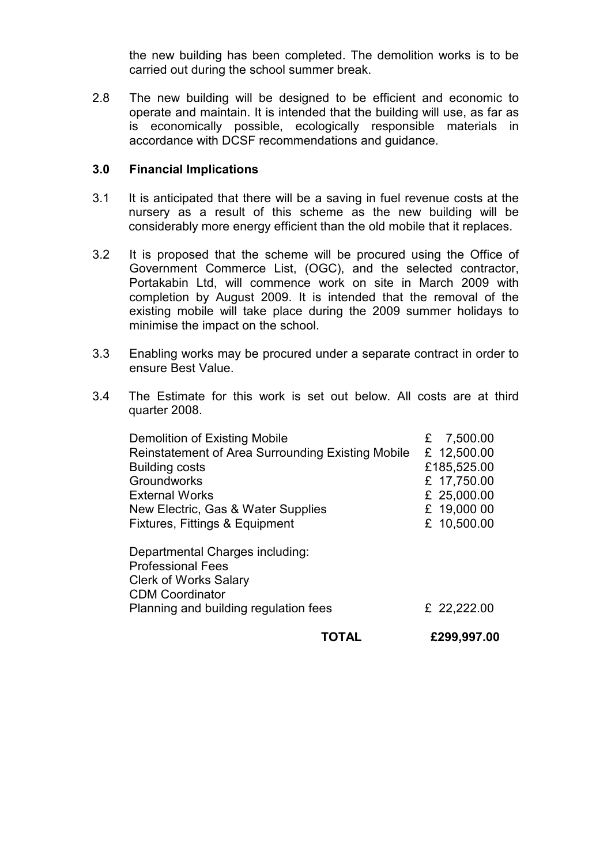the new building has been completed. The demolition works is to be carried out during the school summer break.

2.8 The new building will be designed to be efficient and economic to operate and maintain. It is intended that the building will use, as far as is economically possible, ecologically responsible materials in accordance with DCSF recommendations and guidance.

### 3.0 Financial Implications

- 3.1 It is anticipated that there will be a saving in fuel revenue costs at the nursery as a result of this scheme as the new building will be considerably more energy efficient than the old mobile that it replaces.
- 3.2 It is proposed that the scheme will be procured using the Office of Government Commerce List, (OGC), and the selected contractor, Portakabin Ltd, will commence work on site in March 2009 with completion by August 2009. It is intended that the removal of the existing mobile will take place during the 2009 summer holidays to minimise the impact on the school.
- 3.3 Enabling works may be procured under a separate contract in order to ensure Best Value.
- 3.4 The Estimate for this work is set out below. All costs are at third quarter 2008.

| <b>Clerk of Works Salary</b>                      |               |
|---------------------------------------------------|---------------|
| <b>CDM Coordinator</b>                            |               |
| Planning and building regulation fees             | £ 22,222.00   |
|                                                   |               |
|                                                   |               |
| <b>Professional Fees</b>                          |               |
| Departmental Charges including:                   |               |
| Fixtures, Fittings & Equipment                    | £ 10,500.00   |
| New Electric, Gas & Water Supplies                | £ 19,000 00   |
| <b>External Works</b>                             | £ 25,000.00   |
| <b>Groundworks</b>                                | £ 17,750.00   |
| <b>Building costs</b>                             | £185,525.00   |
| Reinstatement of Area Surrounding Existing Mobile | £ 12,500.00   |
| Demolition of Existing Mobile                     | 7,500.00<br>£ |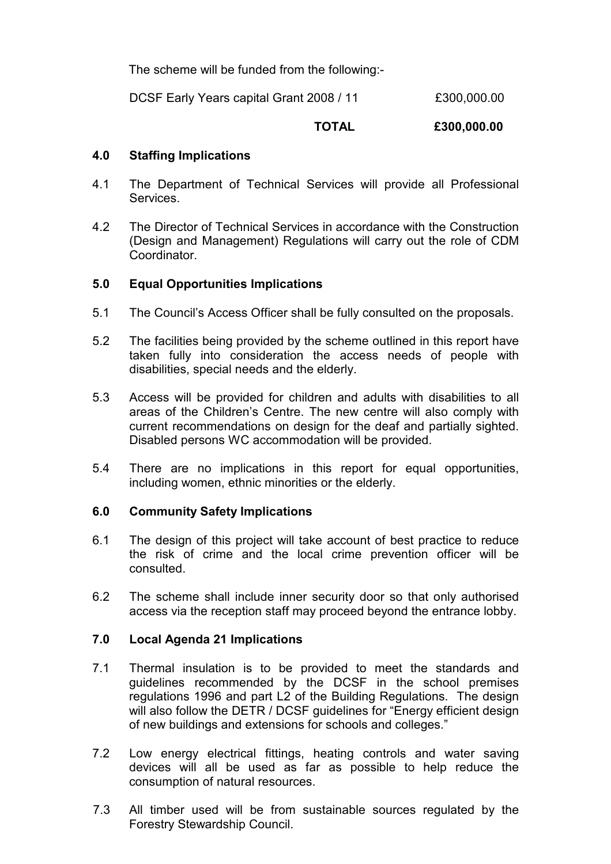The scheme will be funded from the following:-

DCSF Early Years capital Grant 2008 / 11 £300,000.00

### TOTAL £300,000.00

### 4.0 Staffing Implications

- 4.1 The Department of Technical Services will provide all Professional **Services**
- 4.2 The Director of Technical Services in accordance with the Construction (Design and Management) Regulations will carry out the role of CDM Coordinator.

### 5.0 Equal Opportunities Implications

- 5.1 The Council's Access Officer shall be fully consulted on the proposals.
- 5.2 The facilities being provided by the scheme outlined in this report have taken fully into consideration the access needs of people with disabilities, special needs and the elderly.
- 5.3 Access will be provided for children and adults with disabilities to all areas of the Children's Centre. The new centre will also comply with current recommendations on design for the deaf and partially sighted. Disabled persons WC accommodation will be provided.
- 5.4 There are no implications in this report for equal opportunities, including women, ethnic minorities or the elderly.

### 6.0 Community Safety Implications

- 6.1 The design of this project will take account of best practice to reduce the risk of crime and the local crime prevention officer will be consulted.
- 6.2 The scheme shall include inner security door so that only authorised access via the reception staff may proceed beyond the entrance lobby.

### 7.0 Local Agenda 21 Implications

- 7.1 Thermal insulation is to be provided to meet the standards and guidelines recommended by the DCSF in the school premises regulations 1996 and part L2 of the Building Regulations. The design will also follow the DETR / DCSF quidelines for "Energy efficient design of new buildings and extensions for schools and colleges."
- 7.2 Low energy electrical fittings, heating controls and water saving devices will all be used as far as possible to help reduce the consumption of natural resources.
- 7.3 All timber used will be from sustainable sources regulated by the Forestry Stewardship Council.